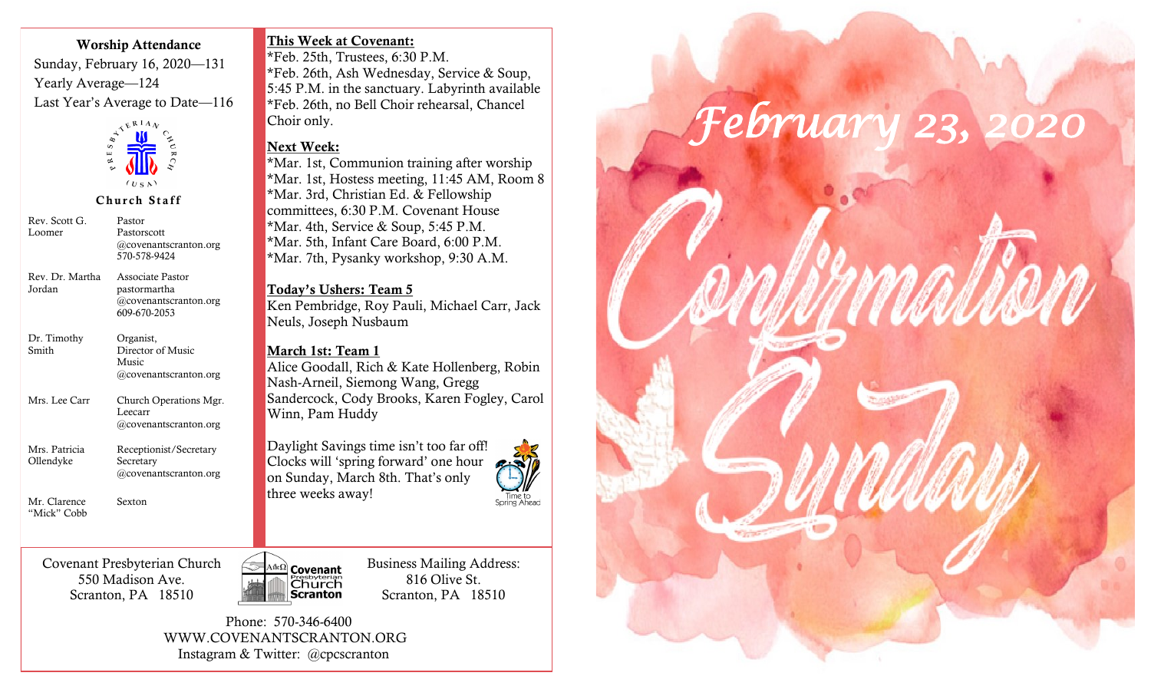#### Worship Attendance

Sunday, February 16, 2020—131 Yearly Average—124 Last Year's Average to Date—116



Church Staff

| Rev. Scott G.<br>Loomer     | Pastor<br>Pastorscott<br>@covenantscranton.org<br>570-578-9424               |
|-----------------------------|------------------------------------------------------------------------------|
| Rev. Dr. Martha<br>Jordan   | Associate Pastor<br>pastormartha<br>$@cov$ enantscranton.org<br>609-670-2053 |
| Dr. Timothy<br>Smith        | Organist,<br>Director of Music<br>Music<br>$(a)$ covenantscranton.org        |
| Mrs. Lee Carr               | Church Operations Mgr.<br>Leecarr<br>$(a)$ covenantscranton.org              |
| Mrs. Patricia<br>Ollendyke  | Receptionist/Secretary<br>Secretary<br>@covenantscranton.org                 |
| Mr. Clarence<br>"Mick" Cobb | Sexton                                                                       |

This Week at Covenant:

\*Feb. 25th, Trustees, 6:30 P.M. \*Feb. 26th, Ash Wednesday, Service & Soup, 5:45 P.M. in the sanctuary. Labyrinth available \*Feb. 26th, no Bell Choir rehearsal, Chancel Choir only.

# Next Week:

\*Mar. 1st, Communion training after worship \*Mar. 1st, Hostess meeting, 11:45 AM, Room 8 \*Mar. 3rd, Christian Ed. & Fellowship committees, 6:30 P.M. Covenant House \*Mar. 4th, Service & Soup, 5:45 P.M. \*Mar. 5th, Infant Care Board, 6:00 P.M. \*Mar. 7th, Pysanky workshop, 9:30 A.M.

Today's Ushers: Team 5 Ken Pembridge, Roy Pauli, Michael Carr, Jack Neuls, Joseph Nusbaum

## March 1st: Team 1

Alice Goodall, Rich & Kate Hollenberg, Robin Nash-Arneil, Siemong Wang, Gregg Sandercock, Cody Brooks, Karen Fogley, Carol Winn, Pam Huddy

Daylight Savings time isn't too far off! Clocks will 'spring forward' one hour on Sunday, March 8th. That's only three weeks away!



Covenant Presbyterian Church 550 Madison Ave. Scranton, PA 18510



Business Mailing Address: 816 Olive St. Scranton, PA 18510

 Phone: 570-346-6400 WWW.COVENANTSCRANTON.ORG Instagram & Twitter: @cpcscranton

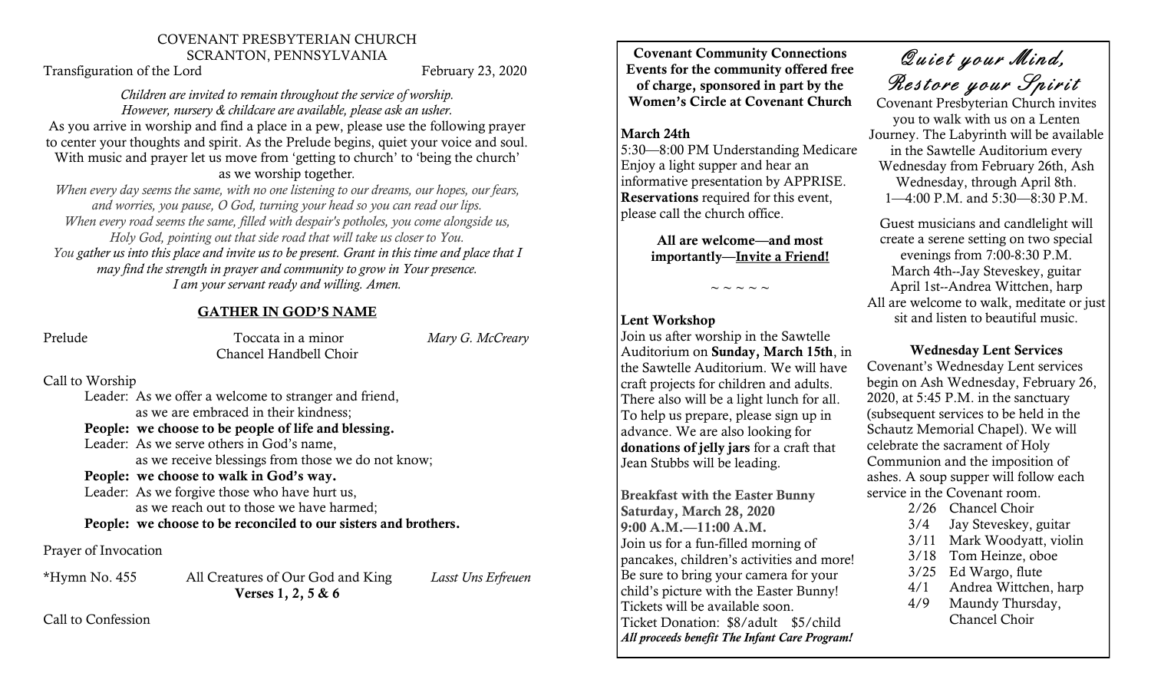#### COVENANT PRESBYTERIAN CHURCH SCRANTON, PENNSYLVANIA

Transfiguration of the Lord February 23, 2020

#### *Children are invited to remain throughout the service of worship. However, nursery & childcare are available, please ask an usher.*

As you arrive in worship and find a place in a pew, please use the following prayer to center your thoughts and spirit. As the Prelude begins, quiet your voice and soul. With music and prayer let us move from 'getting to church' to 'being the church'

as we worship together*.*

*When every day seems the same, with no one listening to our dreams, our hopes, our fears, and worries, you pause, O God, turning your head so you can read our lips. When every road seems the same, filled with despair's potholes, you come alongside us, Holy God, pointing out that side road that will take us closer to You. You gather us into this place and invite us to be present. Grant in this time and place that I may find the strength in prayer and community to grow in Your presence. I am your servant ready and willing. Amen.*

## GATHER IN GOD'S NAME

Prelude Toccata in a minor *Mary G. McCreary* Chancel Handbell Choir

Call to Worship

Leader: As we offer a welcome to stranger and friend, as we are embraced in their kindness;

People: we choose to be people of life and blessing.

Leader: As we serve others in God's name, as we receive blessings from those we do not know;

## People: we choose to walk in God's way.

Leader: As we forgive those who have hurt us, as we reach out to those we have harmed; People: we choose to be reconciled to our sisters and brothers.

## Prayer of Invocation

\*Hymn No. 455 All Creatures of Our God and King *Lasst Uns Erfreuen* Verses 1, 2, 5 & 6

Call to Confession

Covenant Community Connections Events for the community offered free of charge, sponsored in part by the Women's Circle at Covenant Church

## March 24th

5:30—8:00 PM Understanding Medicare Enjoy a light supper and hear an informative presentation by APPRISE. Reservations required for this event, please call the church office.

> All are welcome—and most importantly—Invite a Friend!

> > $\sim$   $\sim$   $\sim$   $\sim$

## Lent Workshop

Join us after worship in the Sawtelle Auditorium on Sunday, March 15th, in the Sawtelle Auditorium. We will have craft projects for children and adults. There also will be a light lunch for all. To help us prepare, please sign up in advance. We are also looking for donations of jelly jars for a craft that Jean Stubbs will be leading.

Breakfast with the Easter Bunny Saturday, March 28, 2020 9:00 A.M.—11:00 A.M. Join us for a fun-filled morning of pancakes, children's activities and more! Be sure to bring your camera for your child's picture with the Easter Bunny! Tickets will be available soon. Ticket Donation: \$8/adult \$5/child *All proceeds benefit The Infant Care Program!*

Quiet your Mind, Restore your Spirit

Covenant Presbyterian Church invites you to walk with us on a Lenten Journey. The Labyrinth will be available in the Sawtelle Auditorium every Wednesday from February 26th, Ash Wednesday, through April 8th. 1—4:00 P.M. and 5:30—8:30 P.M.

Guest musicians and candlelight will create a serene setting on two special evenings from 7:00-8:30 P.M. March 4th--Jay Steveskey, guitar April 1st--Andrea Wittchen, harp All are welcome to walk, meditate or just sit and listen to beautiful music.

## Wednesday Lent Services

Covenant's Wednesday Lent services begin on Ash Wednesday, February 26, 2020, at 5:45 P.M. in the sanctuary (subsequent services to be held in the Schautz Memorial Chapel). We will celebrate the sacrament of Holy Communion and the imposition of ashes. A soup supper will follow each service in the Covenant room.

- 2/26 Chancel Choir
- 3/4 Jay Steveskey, guitar
- 3/11 Mark Woodyatt, violin
- 3/18 Tom Heinze, oboe
- 3/25 Ed Wargo, flute
- 4/1 Andrea Wittchen, harp
- 4/9 Maundy Thursday, Chancel Choir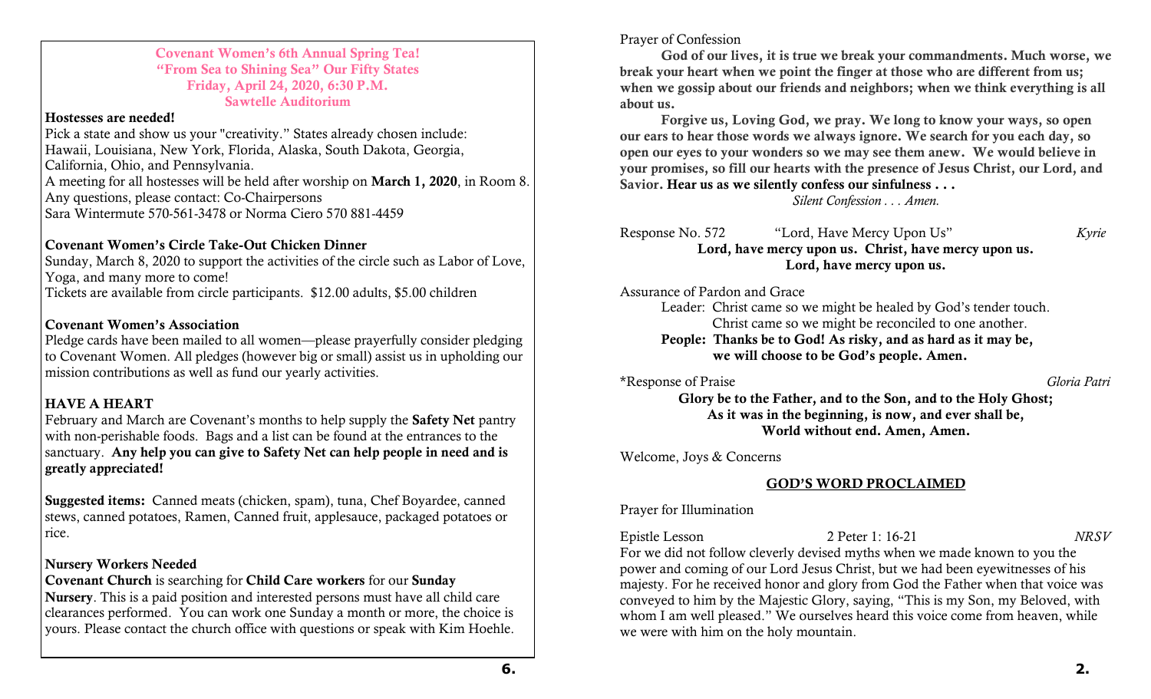#### Covenant Women's 6th Annual Spring Tea! "From Sea to Shining Sea" Our Fifty States Friday, April 24, 2020, 6:30 P.M. Sawtelle Auditorium

#### Hostesses are needed!

Pick a state and show us your "creativity." States already chosen include: Hawaii, Louisiana, New York, Florida, Alaska, South Dakota, Georgia, California, Ohio, and Pennsylvania. A meeting for all hostesses will be held after worship on March 1, 2020, in Room 8. Any questions, please contact: Co-Chairpersons Sara Wintermute 570-561-3478 or Norma Ciero 570 881-4459

## Covenant Women's Circle Take-Out Chicken Dinner

Sunday, March 8, 2020 to support the activities of the circle such as Labor of Love, Yoga, and many more to come! Tickets are available from circle participants. \$12.00 adults, \$5.00 children

## Covenant Women's Association

Pledge cards have been mailed to all women—please prayerfully consider pledging to Covenant Women. All pledges (however big or small) assist us in upholding our mission contributions as well as fund our yearly activities.

# HAVE A HEART

February and March are Covenant's months to help supply the Safety Net pantry with non-perishable foods. Bags and a list can be found at the entrances to the sanctuary. Any help you can give to Safety Net can help people in need and is greatly appreciated!

Suggested items: Canned meats (chicken, spam), tuna, Chef Boyardee, canned stews, canned potatoes, Ramen, Canned fruit, applesauce, packaged potatoes or rice.

## Nursery Workers Needed

Covenant Church is searching for Child Care workers for our Sunday

Nursery. This is a paid position and interested persons must have all child care clearances performed. You can work one Sunday a month or more, the choice is yours. Please contact the church office with questions or speak with Kim Hoehle.

Prayer of Confession

God of our lives, it is true we break your commandments. Much worse, we break your heart when we point the finger at those who are different from us; when we gossip about our friends and neighbors; when we think everything is all about us.

Forgive us, Loving God, we pray. We long to know your ways, so open our ears to hear those words we always ignore. We search for you each day, so open our eyes to your wonders so we may see them anew. We would believe in your promises, so fill our hearts with the presence of Jesus Christ, our Lord, and Savior. Hear us as we silently confess our sinfulness . . .

*Silent Confession . . . Amen.*

Response No. 572 "Lord, Have Mercy Upon Us" *Kyrie* Lord, have mercy upon us. Christ, have mercy upon us. Lord, have mercy upon us.

Assurance of Pardon and Grace

Leader: Christ came so we might be healed by God's tender touch. Christ came so we might be reconciled to one another. People: Thanks be to God! As risky, and as hard as it may be, we will choose to be God's people. Amen.

\*Response of Praise *Gloria Patri*

Glory be to the Father, and to the Son, and to the Holy Ghost; As it was in the beginning, is now, and ever shall be, World without end. Amen, Amen.

Welcome, Joys & Concerns

# GOD'S WORD PROCLAIMED

Prayer for Illumination

Epistle Lesson 2 Peter 1: 16-21 *NRSV* For we did not follow cleverly devised myths when we made known to you the power and coming of our Lord Jesus Christ, but we had been eyewitnesses of his majesty. For he received honor and glory from God the Father when that voice was conveyed to him by the Majestic Glory, saying, "This is my Son, my Beloved, with whom I am well pleased." We ourselves heard this voice come from heaven, while we were with him on the holy mountain.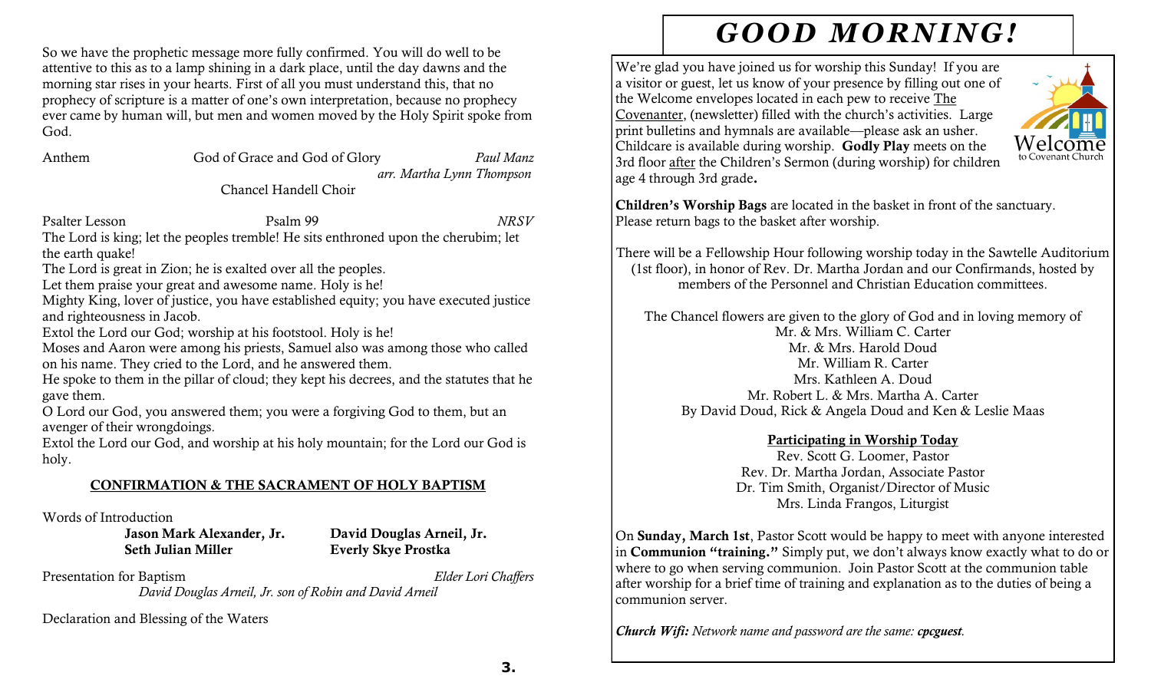So we have the prophetic message more fully confirmed. You will do well to be attentive to this as to a lamp shining in a dark place, until the day dawns and the morning star rises in your hearts. First of all you must understand this, that no prophecy of scripture is a matter of one's own interpretation, because no prophecy ever came by human will, but men and women moved by the Holy Spirit spoke from God.

| Anthem | God of Grace and God of Glory | Paul Manz                 |
|--------|-------------------------------|---------------------------|
|        |                               | arr. Martha Lynn Thompson |

Chancel Handell Choir

Psalter Lesson Psalm 99 *NRSV*

The Lord is king; let the peoples tremble! He sits enthroned upon the cherubim; let the earth quake!

The Lord is great in Zion; he is exalted over all the peoples.

Let them praise your great and awesome name. Holy is he!

Mighty King, lover of justice, you have established equity; you have executed justice and righteousness in Jacob.

Extol the Lord our God; worship at his footstool. Holy is he!

Moses and Aaron were among his priests, Samuel also was among those who called on his name. They cried to the Lord, and he answered them.

He spoke to them in the pillar of cloud; they kept his decrees, and the statutes that he gave them.

O Lord our God, you answered them; you were a forgiving God to them, but an avenger of their wrongdoings.

Extol the Lord our God, and worship at his holy mountain; for the Lord our God is holy.

# CONFIRMATION & THE SACRAMENT OF HOLY BAPTISM

Words of Introduction

Jason Mark Alexander, Jr. David Douglas Arneil, Jr. Seth Julian Miller **Everly Skye Prostka** 

Presentation for Baptism *Elder Lori Chaffers*

*David Douglas Arneil, Jr. son of Robin and David Arneil*

Declaration and Blessing of the Waters

# *GOOD MORNING!*

We're glad you have joined us for worship this Sunday! If you are a visitor or guest, let us know of your presence by filling out one of the Welcome envelopes located in each pew to receive The Covenanter, (newsletter) filled with the church's activities. Large print bulletins and hymnals are available—please ask an usher. Childcare is available during worship. Godly Play meets on the to Covenant Churc 3rd floor after the Children's Sermon (during worship) for children age 4 through 3rd grade.

Children's Worship Bags are located in the basket in front of the sanctuary. Please return bags to the basket after worship.

There will be a Fellowship Hour following worship today in the Sawtelle Auditorium (1st floor), in honor of Rev. Dr. Martha Jordan and our Confirmands, hosted by members of the Personnel and Christian Education committees.

The Chancel flowers are given to the glory of God and in loving memory of Mr. & Mrs. William C. Carter Mr. & Mrs. Harold Doud Mr. William R. Carter Mrs. Kathleen A. Doud Mr. Robert L. & Mrs. Martha A. Carter By David Doud, Rick & Angela Doud and Ken & Leslie Maas

## Participating in Worship Today

Rev. Scott G. Loomer, Pastor Rev. Dr. Martha Jordan, Associate Pastor Dr. Tim Smith, Organist/Director of Music Mrs. Linda Frangos, Liturgist

On Sunday, March 1st, Pastor Scott would be happy to meet with anyone interested in Communion "training." Simply put, we don't always know exactly what to do or where to go when serving communion. Join Pastor Scott at the communion table after worship for a brief time of training and explanation as to the duties of being a communion server.

*Church Wifi: Network name and password are the same: cpcguest.*